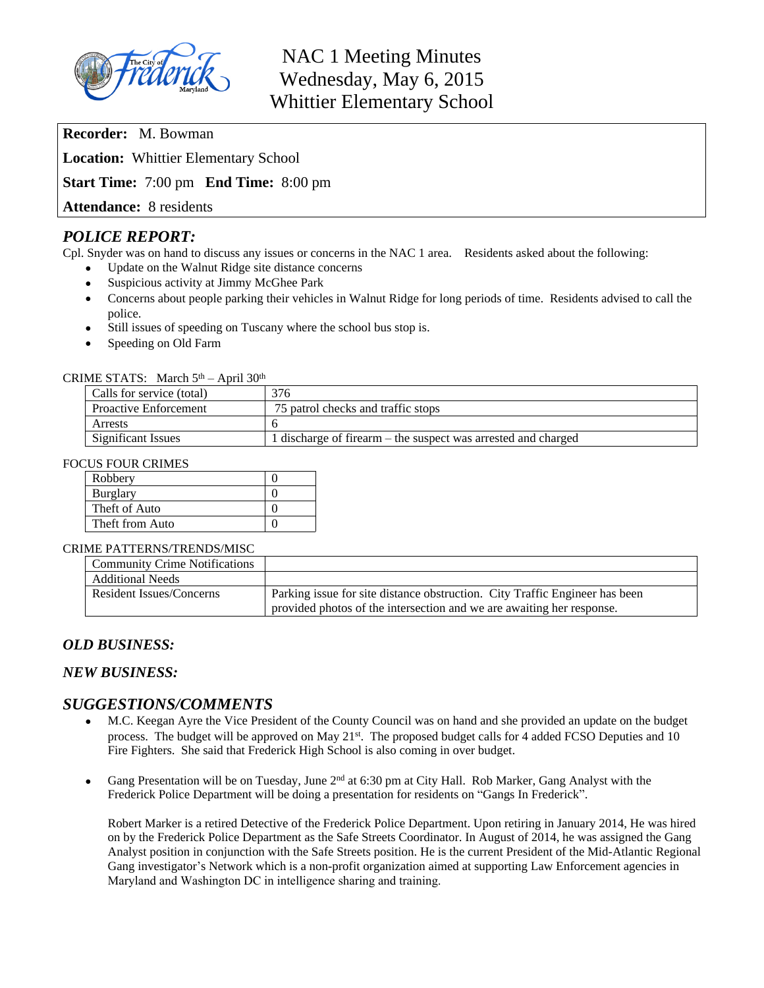

**Recorder:** M. Bowman **Location:** Whittier Elementary School

**Start Time:** 7:00 pm **End Time:** 8:00 pm

**Attendance:** 8 residents

# *POLICE REPORT:*

Cpl. Snyder was on hand to discuss any issues or concerns in the NAC 1 area. Residents asked about the following:

- Update on the Walnut Ridge site distance concerns
- Suspicious activity at Jimmy McGhee Park
- Concerns about people parking their vehicles in Walnut Ridge for long periods of time. Residents advised to call the police.
- Still issues of speeding on Tuscany where the school bus stop is.
- Speeding on Old Farm

#### CRIME STATS: March  $5<sup>th</sup>$  – April 30<sup>th</sup>

| Calls for service (total)    | 376                                                           |
|------------------------------|---------------------------------------------------------------|
| <b>Proactive Enforcement</b> | 75 patrol checks and traffic stops                            |
| Arrests                      |                                                               |
| <b>Significant Issues</b>    | 1 discharge of firearm – the suspect was arrested and charged |

#### FOCUS FOUR CRIMES

| Robbery         |  |
|-----------------|--|
| <b>Burglary</b> |  |
| Theft of Auto   |  |
| Theft from Auto |  |

#### CRIME PATTERNS/TRENDS/MISC

| <b>Community Crime Notifications</b> |                                                                             |
|--------------------------------------|-----------------------------------------------------------------------------|
| <b>Additional Needs</b>              |                                                                             |
| Resident Issues/Concerns             | Parking issue for site distance obstruction. City Traffic Engineer has been |
|                                      | provided photos of the intersection and we are awaiting her response.       |

# *OLD BUSINESS:*

# *NEW BUSINESS:*

# *SUGGESTIONS/COMMENTS*

- M.C. Keegan Ayre the Vice President of the County Council was on hand and she provided an update on the budget process. The budget will be approved on May 21<sup>st</sup>. The proposed budget calls for 4 added FCSO Deputies and 10 Fire Fighters. She said that Frederick High School is also coming in over budget.
- Gang Presentation will be on Tuesday, June 2<sup>nd</sup> at 6:30 pm at City Hall. Rob Marker, Gang Analyst with the Frederick Police Department will be doing a presentation for residents on "Gangs In Frederick".

Robert Marker is a retired Detective of the Frederick Police Department. Upon retiring in January 2014, He was hired on by the Frederick Police Department as the Safe Streets Coordinator. In August of 2014, he was assigned the Gang Analyst position in conjunction with the Safe Streets position. He is the current President of the Mid-Atlantic Regional Gang investigator's Network which is a non-profit organization aimed at supporting Law Enforcement agencies in Maryland and Washington DC in intelligence sharing and training.